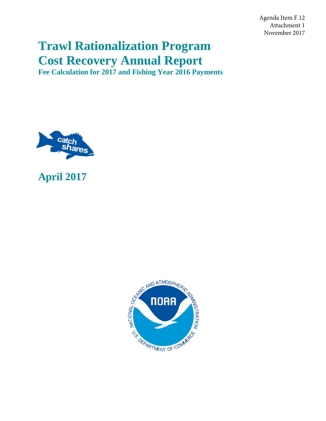Agenda Item F.12 Attachment 1 November 2017

# **Trawl Rationalization Program Cost Recovery Annual Report**

**Fee Calculation for 2017 and Fishing Year 2016 Payments** 



## **April 2017**

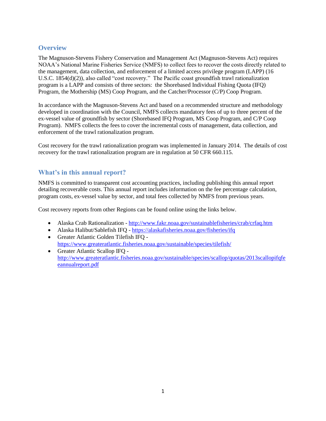## **Overview**

The Magnuson-Stevens Fishery Conservation and Management Act (Magnuson-Stevens Act) requires NOAA's National Marine Fisheries Service (NMFS) to collect fees to recover the costs directly related to the management, data collection, and enforcement of a limited access privilege program (LAPP) (16 U.S.C. 1854(d)(2)), also called "cost recovery." The Pacific coast groundfish trawl rationalization program is a LAPP and consists of three sectors: the Shorebased Individual Fishing Quota (IFQ) Program, the Mothership (MS) Coop Program, and the Catcher/Processor (C/P) Coop Program.

In accordance with the Magnuson-Stevens Act and based on a recommended structure and methodology developed in coordination with the Council, NMFS collects mandatory fees of up to three percent of the ex-vessel value of groundfish by sector (Shorebased IFQ Program, MS Coop Program, and C/P Coop Program). NMFS collects the fees to cover the incremental costs of management, data collection, and enforcement of the trawl rationalization program.

Cost recovery for the trawl rationalization program was implemented in January 2014. The details of cost recovery for the trawl rationalization program are in regulation at 50 CFR 660.115.

## **What's in this annual report?**

NMFS is committed to transparent cost accounting practices, including publishing this annual report detailing recoverable costs. This annual report includes information on the fee percentage calculation, program costs, ex-vessel value by sector, and total fees collected by NMFS from previous years.

Cost recovery reports from other Regions can be found online using the links below.

- Alaska Crab Rationalization <http://www.fakr.noaa.gov/sustainablefisheries/crab/crfaq.htm>
- Alaska Halibut/Sablefish IFQ <https://alaskafisheries.noaa.gov/fisheries/ifq>
- Greater Atlantic Golden Tilefish IFQ <https://www.greateratlantic.fisheries.noaa.gov/sustainable/species/tilefish/>
- Greater Atlantic Scallop IFQ [http://www.greateratlantic.fisheries.noaa.gov/sustainable/species/scallop/quotas/2013scallopifqfe](http://www.greateratlantic.fisheries.noaa.gov/sustainable/species/scallop/quotas/2013scallopifqfeeannualreport.pdf) [eannualreport.pdf](http://www.greateratlantic.fisheries.noaa.gov/sustainable/species/scallop/quotas/2013scallopifqfeeannualreport.pdf)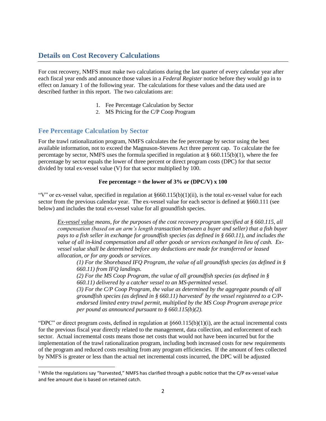## **Details on Cost Recovery Calculations**

For cost recovery, NMFS must make two calculations during the last quarter of every calendar year after each fiscal year ends and announce those values in a *Federal Register* notice before they would go in to effect on January 1 of the following year. The calculations for these values and the data used are described further in this report. The two calculations are:

- 1. Fee Percentage Calculation by Sector
- 2. MS Pricing for the C/P Coop Program

## **Fee Percentage Calculation by Sector**

l

For the trawl rationalization program, NMFS calculates the fee percentage by sector using the best available information, not to exceed the Magnuson-Stevens Act three percent cap. To calculate the fee percentage by sector, NMFS uses the formula specified in regulation at § 660.115(b)(1), where the fee percentage by sector equals the lower of three percent or direct program costs (DPC) for that sector divided by total ex-vessel value (V) for that sector multiplied by 100.

#### Fee percentage = the lower of  $3\%$  or (DPC/V) x  $100$

"V" or ex-vessel value, specified in regulation at  $\S 660.115(b)(1)(ii)$ , is the total ex-vessel value for each sector from the previous calendar year. The ex-vessel value for each sector is defined at §660.111 (see below) and includes the total ex-vessel value for all groundfish species.

*Ex-vessel value means, for the purposes of the cost recovery program specified at § 660.115, all compensation (based on an arm's length transaction between a buyer and seller) that a fish buyer pays to a fish seller in exchange for groundfish species (as defined in § 660.11), and includes the value of all in-kind compensation and all other goods or services exchanged in lieu of cash. Exvessel value shall be determined before any deductions are made for transferred or leased allocation, or for any goods or services.*

*(1) For the Shorebased IFQ Program, the value of all groundfish species (as defined in § 660.11) from IFQ landings.* 

*(2) For the MS Coop Program, the value of all groundfish species (as defined in § 660.11) delivered by a catcher vessel to an MS-permitted vessel.*

*(3) For the C/P Coop Program, the value as determined by the aggregate pounds of all groundfish species (as defined in § 660.11) harvested<sup>1</sup> by the vessel registered to a C/Pendorsed limited entry trawl permit, multiplied by the MS Coop Program average price per pound as announced pursuant to § 660.115(b)(2).*

"DPC" or direct program costs, defined in regulation at  $\S660.115(b)(1)(i)$ , are the actual incremental costs for the previous fiscal year directly related to the management, data collection, and enforcement of each sector. Actual incremental costs means those net costs that would not have been incurred but for the implementation of the trawl rationalization program, including both increased costs for new requirements of the program and reduced costs resulting from any program efficiencies. If the amount of fees collected by NMFS is greater or less than the actual net incremental costs incurred, the DPC will be adjusted

<sup>&</sup>lt;sup>1</sup> While the regulations say "harvested," NMFS has clarified through a public notice that the C/P ex-vessel value and fee amount due is based on retained catch.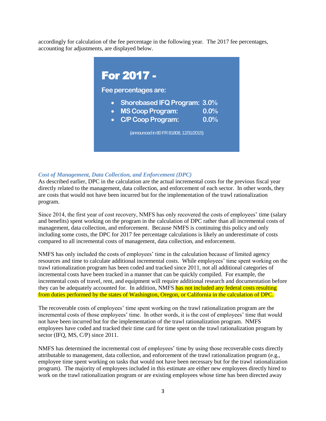accordingly for calculation of the fee percentage in the following year. The 2017 fee percentages, accounting for adjustments, are displayed below.



#### *Cost of Management, Data Collection, and Enforcement (DPC)*

As described earlier, DPC in the calculation are the actual incremental costs for the previous fiscal year directly related to the management, data collection, and enforcement of each sector. In other words, they are costs that would not have been incurred but for the implementation of the trawl rationalization program.

Since 2014, the first year of cost recovery, NMFS has only recovered the costs of employees' time (salary and benefits) spent working on the program in the calculation of DPC rather than all incremental costs of management, data collection, and enforcement. Because NMFS is continuing this policy and only including some costs, the DPC for 2017 fee percentage calculations is likely an underestimate of costs compared to all incremental costs of management, data collection, and enforcement.

NMFS has only included the costs of employees' time in the calculation because of limited agency resources and time to calculate additional incremental costs. While employees' time spent working on the trawl rationalization program has been coded and tracked since 2011, not all additional categories of incremental costs have been tracked in a manner that can be quickly compiled. For example, the incremental costs of travel, rent, and equipment will require additional research and documentation before they can be adequately accounted for. In addition, NMFS has not included any federal costs resulting from duties performed by the states of Washington, Oregon, or California in the calculation of DPC.

The recoverable costs of employees' time spent working on the trawl rationalization program are the incremental costs of those employees' time. In other words, it is the cost of employees' time that would not have been incurred but for the implementation of the trawl rationalization program. NMFS employees have coded and tracked their time card for time spent on the trawl rationalization program by sector (IFQ, MS, C/P) since 2011.

NMFS has determined the incremental cost of employees' time by using those recoverable costs directly attributable to management, data collection, and enforcement of the trawl rationalization program (e.g., employee time spent working on tasks that would not have been necessary but for the trawl rationalization program). The majority of employees included in this estimate are either new employees directly hired to work on the trawl rationalization program or are existing employees whose time has been directed away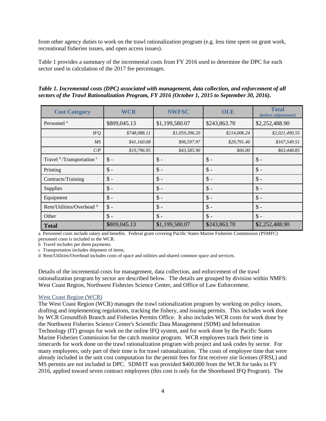from other agency duties to work on the trawl rationalization program (e.g. less time spent on grant work, recreational fisheries issues, and open access issues).

Table 1 provides a summary of the incremental costs from FY 2016 used to determine the DPC for each sector used in calculation of the 2017 fee percentages.

*Table 1. Incremental costs (DPC) associated with management, data collection, and enforcement of all sectors of the Trawl Rationalization Program, FY 2016 (October 1, 2015 to September 30, 2016).*

| <b>Cost Category</b>                             | <b>WCR</b>      | <b>NWFSC</b>    | <b>OLE</b>      | <b>Total</b><br>(before adjustment) |
|--------------------------------------------------|-----------------|-----------------|-----------------|-------------------------------------|
| Personnel <sup>a</sup>                           | \$809,045.13    | \$1,199,580.07  | \$243,863.70    | \$2,252,488.90                      |
| <b>IFQ</b>                                       | \$748,088.11    | \$1,059,396.20  | \$214,006.24    | \$2,021,490.55                      |
| <b>MS</b>                                        | \$41,160.08     | \$96,597.97     | \$29,791.46     | \$167,549.51                        |
| C/P                                              | \$19,796.95     | \$43,585.90     | \$66.00         | \$63,448.85                         |
| Travel <sup>b</sup> /Transportation <sup>c</sup> | $\$\$ -         | $\$ -           | $\mathcal{S}$ - | $\$ -                               |
| Printing                                         | $\mathsf{\$}$ - | $\mathsf{\$}$ - | $\mathsf{\$}$ - | $\mathsf{\$}$ -                     |
| Contracts/Training                               | $\mathsf{\$}$ - | $\mathsf{\$}$ - | $\mathcal{S}$ - | $\$ -                               |
| Supplies                                         | $\$\$ -         | $\$ -           | $\mathsf{\$}$ - | $\$ -                               |
| Equipment                                        | $\$\$ -         | $\mathsf{\$}$ - | $\mathcal{S}$ - | $\mathsf{\$}$ -                     |
| Rent/Utilities/Overhead <sup>d</sup>             | $\$\$ -         | $\$ -           | $\mathsf{\$}$ - | $\$ -                               |
| Other                                            | $\mathsf{\$}$ - | $\mathsf{\$}$ - | $\mathsf{\$}$ - | $\mathsf{\$}$ -                     |
| <b>Total</b>                                     | \$809,045.13    | \$1,199,580.07  | \$243,863.70    | \$2,252,488.90                      |

a Personnel costs include salary and benefits. Federal grant covering Pacific States Marine Fisheries Commission (PSMFC) personnel costs is included in the WCR.

b Travel includes per diem payments.

c Transportation includes shipment of items.

d Rent/Utilities/Overhead includes costs of space and utilities and shared common space and services.

Details of the incremental costs for management, data collection, and enforcement of the trawl rationalization program by sector are described below. The details are grouped by division within NMFS: West Coast Region, Northwest Fisheries Science Center, and Office of Law Enforcement.

#### West Coast Region (WCR)

The West Coast Region (WCR) manages the trawl rationalization program by working on policy issues, drafting and implementing regulations, tracking the fishery, and issuing permits. This includes work done by WCR Groundfish Branch and Fisheries Permits Office. It also includes WCR costs for work done by the Northwest Fisheries Science Center's Scientific Data Management (SDM) and Information Technology (IT) groups for work on the online IFQ system, and for work done by the Pacific States Marine Fisheries Commission for the catch monitor program. WCR employees track their time in timecards for work done on the trawl rationalization program with project and task codes by sector. For many employees, only part of their time is for trawl rationalization. The costs of employee time that were already included in the unit cost computation for the permit fees for first receiver site licenses (FRSL) and MS permits are not included in DPC. SDM/IT was provided \$400,000 from the WCR for tasks in FY 2016, applied toward seven contract employees (this cost is only for the Shorebased IFQ Program). The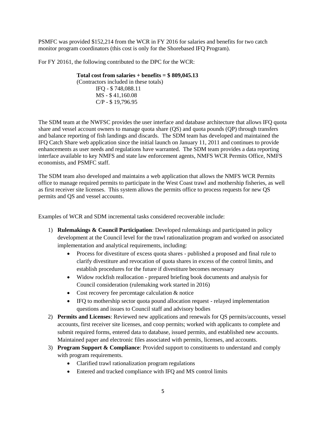PSMFC was provided \$152,214 from the WCR in FY 2016 for salaries and benefits for two catch monitor program coordinators (this cost is only for the Shorebased IFQ Program).

For FY 20161, the following contributed to the DPC for the WCR:

**Total cost from salaries + benefits = \$ 809,045.13** (Contractors included in these totals) IFQ - \$ 748,088.11 MS - \$ 41,160.08 C/P - \$ 19,796.95

The SDM team at the NWFSC provides the user interface and database architecture that allows IFQ quota share and vessel account owners to manage quota share (QS) and quota pounds (QP) through transfers and balance reporting of fish landings and discards. The SDM team has developed and maintained the IFQ Catch Share web application since the initial launch on January 11, 2011 and continues to provide enhancements as user needs and regulations have warranted. The SDM team provides a data reporting interface available to key NMFS and state law enforcement agents, NMFS WCR Permits Office, NMFS economists, and PSMFC staff.

The SDM team also developed and maintains a web application that allows the NMFS WCR Permits office to manage required permits to participate in the West Coast trawl and mothership fisheries, as well as first receiver site licenses. This system allows the permits office to process requests for new QS permits and QS and vessel accounts.

Examples of WCR and SDM incremental tasks considered recoverable include:

- 1) **Rulemakings & Council Participation**: Developed rulemakings and participated in policy development at the Council level for the trawl rationalization program and worked on associated implementation and analytical requirements, including:
	- Process for divestiture of excess quota shares published a proposed and final rule to clarify divestiture and revocation of quota shares in excess of the control limits, and establish procedures for the future if divestiture becomes necessary
	- Widow rockfish reallocation prepared briefing book documents and analysis for Council consideration (rulemaking work started in 2016)
	- Cost recovery fee percentage calculation & notice
	- IFQ to mothership sector quota pound allocation request relayed implementation questions and issues to Council staff and advisory bodies
- 2) **Permits and Licenses**: Reviewed new applications and renewals for QS permits/accounts, vessel accounts, first receiver site licenses, and coop permits; worked with applicants to complete and submit required forms, entered data to database, issued permits, and established new accounts. Maintained paper and electronic files associated with permits, licenses, and accounts.
- 3) **Program Support & Compliance**: Provided support to constituents to understand and comply with program requirements.
	- Clarified trawl rationalization program regulations
	- Entered and tracked compliance with IFQ and MS control limits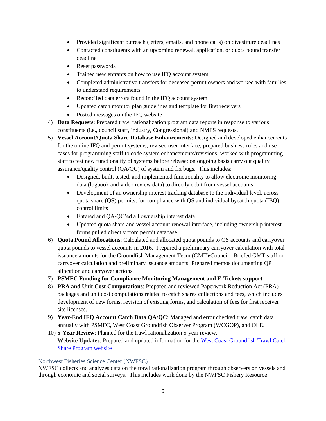- Provided significant outreach (letters, emails, and phone calls) on divestiture deadlines
- Contacted constituents with an upcoming renewal, application, or quota pound transfer deadline
- Reset passwords
- Trained new entrants on how to use IFQ account system
- Completed administrative transfers for deceased permit owners and worked with families to understand requirements
- Reconciled data errors found in the IFQ account system
- Updated catch monitor plan guidelines and template for first receivers
- Posted messages on the IFQ website
- 4) **Data Requests**: Prepared trawl rationalization program data reports in response to various constituents (i.e., council staff, industry, Congressional) and NMFS requests.
- 5) **Vessel Account/Quota Share Database Enhancements**: Designed and developed enhancements for the online IFQ and permit systems; revised user interface; prepared business rules and use cases for programming staff to code system enhancements/revisions; worked with programming staff to test new functionality of systems before release; on ongoing basis carry out quality assurance/quality control (QA/QC) of system and fix bugs. This includes:
	- Designed, built, tested, and implemented functionality to allow electronic monitoring data (logbook and video review data) to directly debit from vessel accounts
	- Development of an ownership interest tracking database to the individual level, across quota share (QS) permits, for compliance with QS and individual bycatch quota (IBQ) control limits
	- Entered and QA/QC'ed all ownership interest data
	- Updated quota share and vessel account renewal interface, including ownership interest forms pulled directly from permit database
- 6) **Quota Pound Allocations**: Calculated and allocated quota pounds to QS accounts and carryover quota pounds to vessel accounts in 2016. Prepared a preliminary carryover calculation with total issuance amounts for the Groundfish Management Team (GMT)/Council. Briefed GMT staff on carryover calculation and preliminary issuance amounts. Prepared memos documenting QP allocation and carryover actions.
- 7) **PSMFC Funding for Compliance Monitoring Management and E**-**Tickets support**
- 8) **PRA and Unit Cost Computations**: Prepared and reviewed Paperwork Reduction Act (PRA) packages and unit cost computations related to catch shares collections and fees, which includes development of new forms, revision of existing forms, and calculation of fees for first receiver site licenses.
- 9) **Year-End IFQ Account Catch Data QA/QC**: Managed and error checked trawl catch data annually with PSMFC, West Coast Groundfish Observer Program (WCGOP), and OLE.
- 10) **5-Year Review**: Planned for the trawl rationalization 5-year review. **Website Updates**: Prepared and updated information for the [West Coast Groundfish Trawl Catch](http://www.westcoast.fisheries.noaa.gov/fisheries/groundfish_catch_shares/index.html)  [Share Program website](http://www.westcoast.fisheries.noaa.gov/fisheries/groundfish_catch_shares/index.html)

#### Northwest Fisheries Science Center (NWFSC)

NWFSC collects and analyzes data on the trawl rationalization program through observers on vessels and through economic and social surveys. This includes work done by the NWFSC Fishery Resource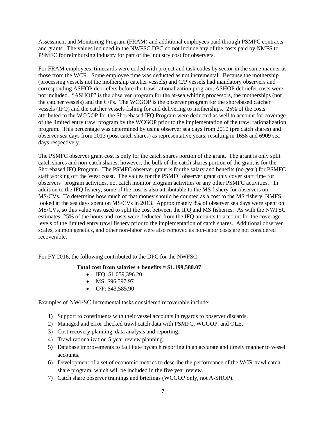Assessment and Monitoring Program (FRAM) and additional employees paid through PSMFC contracts and grants. The values included in the NWFSC DPC do not include any of the costs paid by NMFS to PSMFC for reimbursing industry for part of the industry cost for observers.

For FRAM employees, timecards were coded with project and task codes by sector in the same manner as those from the WCR. Some employee time was deducted as not incremental. Because the mothership (processing vessels not the mothership catcher vessels) and C/P vessels had mandatory observers and corresponding ASHOP debriefers before the trawl rationalization program, ASHOP debriefer costs were not included. "ASHOP" is the observer program for the at-sea whiting processors, the motherships (not the catcher vessels) and the C/Ps. The WCGOP is the observer program for the shorebased catcher vessels (IFQ) and the catcher vessels fishing for and delivering to motherships. 25% of the costs attributed to the WCGOP for the Shorebased IFQ Program were deducted as well to account for coverage of the limited entry trawl program by the WCGOP prior to the implementation of the trawl rationalization program. This percentage was determined by using observer sea days from 2010 (pre catch shares) and observer sea days from 2013 (post catch shares) as representative years, resulting in 1658 and 6909 sea days respectively.

The PSMFC observer grant cost is only for the catch shares portion of the grant. The grant is only split catch shares and non-catch shares, however, the bulk of the catch shares portion of the grant is for the Shorebased IFQ Program. The PSMFC observer grant is for the salary and benefits (no gear) for PSMFC staff working off the West coast. The values for the PSMFC observer grant only cover staff time for observers' program activities, not catch monitor program activities or any other PSMFC activities. In addition to the IFQ fishery, some of the cost is also attributable to the MS fishery for observers on MS/CVs. To determine how much of that money should be counted as a cost to the MS fishery, NMFS looked at the sea days spent on MS/CVs in 2013. Approximately 8% of observer sea days were spent on MS/CVs, so this value was used to split the cost between the IFQ and MS fisheries. As with the NWFSC estimates, 25% of the hours and costs were deducted from the IFQ amounts to account for the coverage levels of the limited entry trawl fishery prior to the implementation of catch shares. Additional observer scales, salmon genetics, and other non-labor were also removed as non-labor costs are not considered recoverable.

For FY 2016, the following contributed to the DPC for the NWFSC:

#### **Total cost from salaries + benefits = \$1,199,580.07**

- $\bullet$  IFQ: \$1,059,396.20
- $\bullet$  MS: \$96,597.97
- $\bullet$  C/P: \$43,585.90

Examples of NWFSC incremental tasks considered recoverable include:

- 1) Support to constituents with their vessel accounts in regards to observer discards.
- 2) Managed and error checked trawl catch data with PSMFC, WCGOP, and OLE.
- 3) Cost recovery planning, data analysis and reporting.
- 4) Trawl rationalization 5-year review planning.
- 5) Database improvements to facilitate bycatch reporting in an accurate and timely manner to vessel accounts.
- 6) Development of a set of economic metrics to describe the performance of the WCR trawl catch share program, which will be included in the five year review.
- 7) Catch share observer trainings and briefings (WCGOP only, not A-SHOP).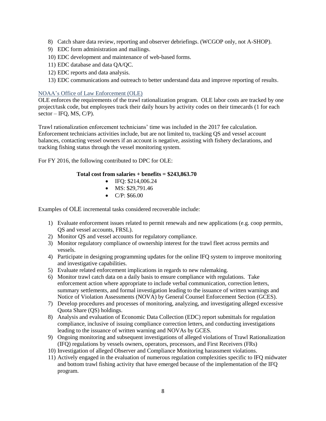- 8) Catch share data review, reporting and observer debriefings. (WCGOP only, not A-SHOP).
- 9) EDC form administration and mailings.
- 10) EDC development and maintenance of web-based forms.
- 11) EDC database and data QA/QC.
- 12) EDC reports and data analysis.
- 13) EDC communications and outreach to better understand data and improve reporting of results.

#### NOAA's Office of Law Enforcement (OLE)

OLE enforces the requirements of the trawl rationalization program. OLE labor costs are tracked by one project/task code, but employees track their daily hours by activity codes on their timecards (1 for each  $sector - IFQ, MS, C/P$ ).

Trawl rationalization enforcement technicians' time was included in the 2017 fee calculation. Enforcement technicians activities include, but are not limited to, tracking QS and vessel account balances, contacting vessel owners if an account is negative, assisting with fishery declarations, and tracking fishing status through the vessel monitoring system.

For FY 2016, the following contributed to DPC for OLE:

#### **Total cost from salaries + benefits = \$243,863.70**

- $\bullet$  IFO: \$214,006.24
- $\bullet$  MS: \$29,791.46
- $\bullet$  C/P: \$66.00

Examples of OLE incremental tasks considered recoverable include:

- 1) Evaluate enforcement issues related to permit renewals and new applications (e.g. coop permits, QS and vessel accounts, FRSL).
- 2) Monitor QS and vessel accounts for regulatory compliance.
- 3) Monitor regulatory compliance of ownership interest for the trawl fleet across permits and vessels.
- 4) Participate in designing programming updates for the online IFQ system to improve monitoring and investigative capabilities.
- 5) Evaluate related enforcement implications in regards to new rulemaking.
- 6) Monitor trawl catch data on a daily basis to ensure compliance with regulations. Take enforcement action where appropriate to include verbal communication, correction letters, summary settlements, and formal investigation leading to the issuance of written warnings and Notice of Violation Assessments (NOVA) by General Counsel Enforcement Section (GCES).
- 7) Develop procedures and processes of monitoring, analyzing, and investigating alleged excessive Quota Share (QS) holdings.
- 8) Analysis and evaluation of Economic Data Collection (EDC) report submittals for regulation compliance, inclusive of issuing compliance correction letters, and conducting investigations leading to the issuance of written warning and NOVAs by GCES.
- 9) Ongoing monitoring and subsequent investigations of alleged violations of Trawl Rationalization (IFQ) regulations by vessels owners, operators, processors, and First Receivers (FRs)
- 10) Investigation of alleged Observer and Compliance Monitoring harassment violations.
- 11) Actively engaged in the evaluation of numerous regulation complexities specific to IFQ midwater and bottom trawl fishing activity that have emerged because of the implementation of the IFQ program.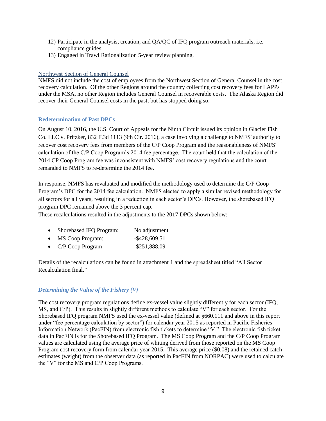- 12) Participate in the analysis, creation, and QA/QC of IFQ program outreach materials, i.e. compliance guides.
- 13) Engaged in Trawl Rationalization 5-year review planning.

#### Northwest Section of General Counsel

NMFS did not include the cost of employees from the Northwest Section of General Counsel in the cost recovery calculation. Of the other Regions around the country collecting cost recovery fees for LAPPs under the MSA, no other Region includes General Counsel in recoverable costs. The Alaska Region did recover their General Counsel costs in the past, but has stopped doing so.

#### **Redetermination of Past DPCs**

On August 10, 2016, the U.S. Court of Appeals for the Ninth Circuit issued its opinion in Glacier Fish Co. LLC v. Pritzker, 832 F.3d 1113 (9th Cir. 2016), a case involving a challenge to NMFS' authority to recover cost recovery fees from members of the C/P Coop Program and the reasonableness of NMFS' calculation of the C/P Coop Program's 2014 fee percentage. The court held that the calculation of the 2014 CP Coop Program fee was inconsistent with NMFS' cost recovery regulations and the court remanded to NMFS to re-determine the 2014 fee.

In response, NMFS has revaluated and modified the methodology used to determine the C/P Coop Program's DPC for the 2014 fee calculation. NMFS elected to apply a similar revised methodology for all sectors for all years, resulting in a reduction in each sector's DPCs. However, the shorebased IFQ program DPC remained above the 3 percent cap.

These recalculations resulted in the adjustments to the 2017 DPCs shown below:

| Shorebased IFQ Program: | No adjustment    |
|-------------------------|------------------|
| <b>MS</b> Coop Program: | $-$ \$428,609.51 |

• C/P Coop Program -\$251,888.09

Details of the recalculations can be found in attachment 1 and the spreadsheet titled "All Sector Recalculation final."

#### *Determining the Value of the Fishery (V)*

The cost recovery program regulations define ex-vessel value slightly differently for each sector (IFQ, MS, and C/P). This results in slightly different methods to calculate "V" for each sector. For the Shorebased IFQ program NMFS used the ex-vessel value (defined at §660.111 and above in this report under "fee percentage calculation by sector") for calendar year 2015 as reported in Pacific Fisheries Information Network (PacFIN) from electronic fish tickets to determine "V." The electronic fish ticket data in PacFIN is for the Shorebased IFQ Program. The MS Coop Program and the C/P Coop Program values are calculated using the average price of whiting derived from those reported on the MS Coop Program cost recovery form from calendar year 2015. This average price (\$0.08) and the retained catch estimates (weight) from the observer data (as reported in PacFIN from NORPAC) were used to calculate the "V" for the MS and C/P Coop Programs.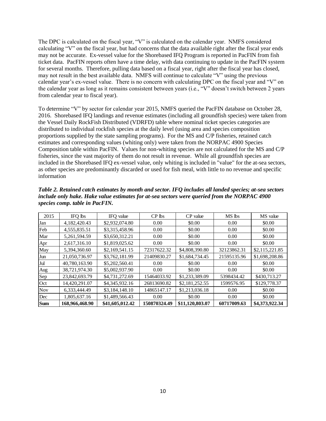The DPC is calculated on the fiscal year, "V" is calculated on the calendar year. NMFS considered calculating "V" on the fiscal year, but had concerns that the data available right after the fiscal year ends may not be accurate. Ex-vessel value for the Shorebased IFQ Program is reported in PacFIN from fish ticket data. PacFIN reports often have a time delay, with data continuing to update in the PacFIN system for several months. Therefore, pulling data based on a fiscal year, right after the fiscal year has closed, may not result in the best available data. NMFS will continue to calculate "V" using the previous calendar year's ex-vessel value. There is no concern with calculating DPC on the fiscal year and "V" on the calendar year as long as it remains consistent between years (i.e., "V" doesn't switch between 2 years from calendar year to fiscal year).

To determine "V" by sector for calendar year 2015, NMFS queried the PacFIN database on October 28, 2016. Shorebased IFQ landings and revenue estimates (including all groundfish species) were taken from the Vessel Daily RockFish Distributed (VDRFD) table where nominal ticket species categories are distributed to individual rockfish species at the daily level (using area and species composition proportions supplied by the state sampling programs). For the MS and C/P fisheries, retained catch estimates and corresponding values (whiting only) were taken from the NORPAC 4900 Species Composition table within PacFIN. Values for non-whiting species are not calculated for the MS and C/P fisheries, since the vast majority of them do not result in revenue. While all groundfish species are included in the Shorebased IFQ ex-vessel value, only whiting is included in "value" for the at-sea sectors, as other species are predominantly discarded or used for fish meal, with little to no revenue and specific information

| 2015       | IFO lbs        | IFO value       | $CP$ lbs     | CP value        | MS lbs      | MS value       |
|------------|----------------|-----------------|--------------|-----------------|-------------|----------------|
| Jan        | 4,182,420.43   | \$2,932,074.80  | 0.00         | \$0.00          | 0.00        | \$0.00         |
| Feb        | 4,555,835.51   | \$3,315,458.96  | 0.00         | \$0.00          | 0.00        | \$0.00         |
| Mar        | 5,261,594.59   | \$3,650,312.21  | 0.00         | \$0.00          | 0.00        | \$0.00         |
| Apr        | 2,617,316.10   | \$1,819,025.62  | 0.00         | \$0.00          | 0.00        | \$0.00         |
| May        | 5,394,360.60   | \$2,169,541.15  | 72317622.32  | \$4,808,390.80  | 32123862.31 | \$2,115,221.85 |
| Jun        | 21,050,736.97  | \$3,762,181.99  | 21409830.27  | \$1,684,734.45  | 21595135.96 | \$1,698,208.86 |
| Jul        | 40,780,163.90  | \$5,202,560.41  | 0.00         | \$0.00          | 0.00        | \$0.00         |
| Aug        | 38,721,974.30  | \$5,002,937.90  | 0.00         | \$0.00          | 0.00        | \$0.00         |
| Sep        | 23.842.693.79  | \$4,731,272.69  | 15464033.92  | \$1,233,389.09  | 5398434.42  | \$430,713.27   |
| Oct        | 14,420,291.07  | \$4,345,932.16  | 26813690.82  | \$2,181,252.55  | 1599576.95  | \$129,778.37   |
| <b>Nov</b> | 6,333,444.49   | \$3,184,148.10  | 14865147.17  | \$1,213,036.18  | 0.00        | \$0.00         |
| Dec        | 1,805,637.16   | \$1,489,566.43  | 0.00         | \$0.00          | 0.00        | \$0.00         |
| <b>Sum</b> | 168,966,468.90 | \$41,605,012.42 | 150870324.49 | \$11,120,803.07 | 60717009.63 | \$4,373,922.34 |

*Table 2. Retained catch estimates by month and sector. IFQ includes all landed species; at-sea sectors include only hake. Hake value estimates for at-sea sectors were queried from the NORPAC 4900 species comp. table in PacFIN.*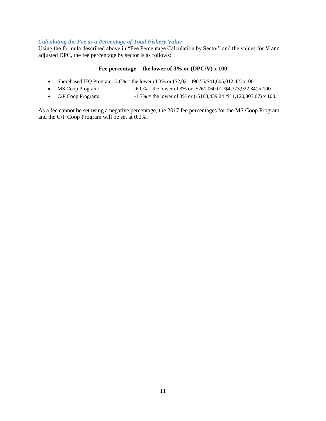#### *Calculating the Fee as a Percentage of Total Fishery Value*

Using the formula described above in "Fee Percentage Calculation by Sector" and the values for V and adjusted DPC, the fee percentage by sector is as follows:

#### **Fee percentage = the lower of 3% or (DPC/V) x 100**

- Shorebased IFQ Program:  $3.0\%$  = the lower of 3% or  $(\$2,021,490.55/\$41,605,012.42) \times 100$
- MS Coop Program:  $-6.0\%$  = the lower of 3% or  $-261,060.01 / 4,373,922.34$ ) x 100
- C/P Coop Program:  $-1.7\%$  = the lower of 3% or  $(-$188,439.24 \div 11,120,803.07)$  x 100.

As a fee cannot be set using a negative percentage, the 2017 fee percentages for the MS Coop Program and the C/P Coop Program will be set at 0.0%.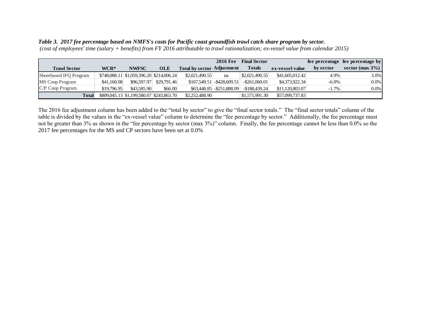#### *Table 3. 2017 fee percentage based on NMFS's costs for Pacific coast groundfish trawl catch share program by sector.*

*(cost of employees' time (salary + benefits) from FY 2016 attributable to trawl rationalization; ex-vessel value from calendar 2015)*

|                        |             |                                               |             |                                   | <b>2016 Fee</b>              | <b>Final Sector</b>    |                 |           | fee percentage fee percentage by |
|------------------------|-------------|-----------------------------------------------|-------------|-----------------------------------|------------------------------|------------------------|-----------------|-----------|----------------------------------|
| <b>Trawl Sector</b>    | WCR*        | <b>NWFSC</b>                                  | <b>OLE</b>  | <b>Total by sector Adjustment</b> |                              | <b>Totals</b>          | ex-vessel value | by sector | sector (max $3\%$ )              |
| Shorebased IFQ Program |             | $$748,088.11 \; $1,059,396.20 \; $214,006.24$ |             | \$2,021,490.55                    | na                           | $\vert$ \$2,021,490.55 | \$41,605,012.42 | 4.9%      | $3.0\%$                          |
| MS Coop Program        | \$41,160.08 | \$96,597.97                                   | \$29,791.46 |                                   | $$167.549.51$ - \$428.609.51 | $-$ \$261,060.01       | \$4,373,922,34  | $-6.0\%$  | $0.0\%$                          |
| C/P Coop Program       | \$19,796.95 | \$43,585,90                                   | \$66.00     |                                   | $$63,448.85$ - $$251,888.09$ | $-$188,439,24$         | \$11,120,803.07 | $-1.7\%$  | $0.0\%$                          |
| <b>Total</b>           |             | \$809,045.13 \$1,199,580.07 \$243,863.70      |             | \$2,252,488.90                    |                              | \$1,571,991.30         | \$57,099,737.83 |           |                                  |

The 2016 fee adjustment column has been added to the "total by sector" to give the "final sector totals." The "final sector totals" column of the table is divided by the values in the "ex-vessel value" column to determine the "fee percentage by sector." Additionally, the fee percentage must not be greater than 3% as shown in the "fee percentage by sector (max 3%)" column. Finally, the fee percentage cannot be less than 0.0% so the 2017 fee percentages for the MS and CP sectors have been set at 0.0%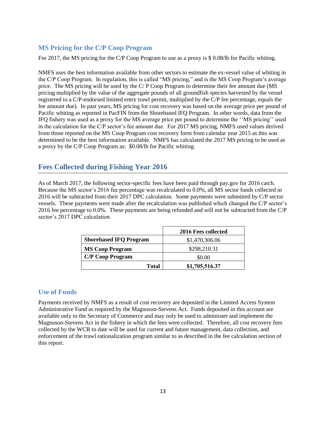## **MS Pricing for the C/P Coop Program**

For 2017, the MS pricing for the C/P Coop Program to use as a proxy is \$ 0.08/lb for Pacific whiting.

NMFS uses the best information available from other sectors to estimate the ex-vessel value of whiting in the C/P Coop Program. In regulation, this is called "MS pricing," and is the MS Coop Program's average price. The MS pricing will be used by the C/ P Coop Program to determine their fee amount due (MS pricing multiplied by the value of the aggregate pounds of all groundfish species harvested by the vessel registered to a C/P-endorsed limited entry trawl permit, multiplied by the C/P fee percentage, equals the fee amount due). In past years, MS pricing for cost recovery was based on the average price per pound of Pacific whiting as reported in PacFIN from the Shorebased IFQ Program. In other words, data from the IFQ fishery was used as a proxy for the MS average price per pound to determine the ''MS pricing'' used in the calculation for the C/P sector's fee amount due. For 2017 MS pricing, NMFS used values derived from those reported on the MS Coop Program cost recovery form from calendar year 2015 as this was determined to be the best information available. NMFS has calculated the 2017 MS pricing to be used as a proxy by the C/P Coop Program as: \$0.08/lb for Pacific whiting.

## **Fees Collected during Fishing Year 2016**

As of March 2017, the following sector-specific fees have been paid through pay.gov for 2016 catch. Because the MS sector's 2016 fee percentage was recalculated to 0.0%, all MS sector funds collected in 2016 will be subtracted from their 2017 DPC calculation. Some payments were submitted by C/P sector vessels. These payments were made after the recalculation was published which changed the C/P sector's 2016 fee percentage to 0.0%. These payments are being refunded and will not be subtracted from the C/P sector's 2017 DPC calculation.

|                               | 2016 Fees collected |
|-------------------------------|---------------------|
| <b>Shorebased IFQ Program</b> | \$1,470,306.06      |
| <b>MS Coop Program</b>        | \$298,210.31        |
| <b>C/P Coop Program</b>       | \$0.00              |
| Total                         | \$1,705,516.37      |

### **Use of Funds**

Payments received by NMFS as a result of cost recovery are deposited in the Limited Access System Administrative Fund as required by the Magnuson-Stevens Act. Funds deposited in this account are available only to the Secretary of Commerce and may only be used to administer and implement the Magnuson-Stevens Act in the fishery in which the fees were collected. Therefore, all cost recovery fees collected by the WCR to date will be used for current and future management, data collection, and enforcement of the trawl rationalization program similar to as described in the fee calculation section of this report.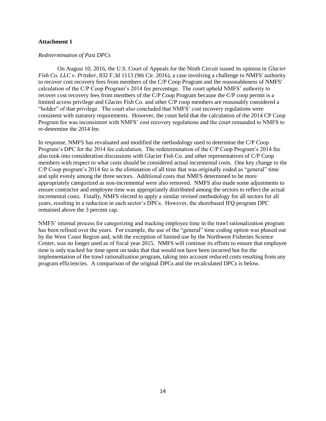#### **Attachment 1**

#### *Redetermination of Past DPCs*

On August 10, 2016, the U.S. Court of Appeals for the Ninth Circuit issued its opinion in *Glacier Fish Co. LLC v. Pritzker*, 832 F.3d 1113 (9th Cir. 2016), a case involving a challenge to NMFS' authority to recover cost recovery fees from members of the C/P Coop Program and the reasonableness of NMFS' calculation of the C/P Coop Program's 2014 fee percentage. The court upheld NMFS' authority to recover cost recovery fees from members of the C/P Coop Program because the C/P coop permit is a limited access privilege and Glacier Fish Co. and other C/P coop members are reasonably considered a "holder" of that privilege. The court also concluded that NMFS' cost recovery regulations were consistent with statutory requirements. However, the court held that the calculation of the 2014 CP Coop Program fee was inconsistent with NMFS' cost recovery regulations and the court remanded to NMFS to re-determine the 2014 fee.

In response, NMFS has revaluated and modified the methodology used to determine the C/P Coop Program's DPC for the 2014 fee calculation. The redetermination of the C/P Coop Program's 2014 fee also took into consideration discussions with Glacier Fish Co. and other representatives of C/P Coop members with respect to what costs should be considered actual incremental costs. One key change to the C/P Coop program's 2014 fee is the elimination of all time that was originally coded as "general" time and split evenly among the three sectors. Additional costs that NMFS determined to be more appropriately categorized as non-incremental were also removed. NMFS also made some adjustments to ensure contractor and employee time was appropriately distributed among the sectors to reflect the actual incremental costs. Finally, NMFS elected to apply a similar revised methodology for all sectors for all years, resulting in a reduction in each sector's DPCs. However, the shorebased IFQ program DPC remained above the 3 percent cap.

NMFS' internal process for categorizing and tracking employee time in the trawl rationalization program has been refined over the years. For example, the use of the "general" time coding option was phased out by the West Coast Region and, with the exception of limited use by the Northwest Fisheries Science Center, was no longer used as of fiscal year 2015. NMFS will continue its efforts to ensure that employee time is only tracked for time spent on tasks that that would not have been incurred but for the implementation of the trawl rationalization program, taking into account reduced costs resulting from any program efficiencies. A comparison of the original DPCs and the recalculated DPCs is below.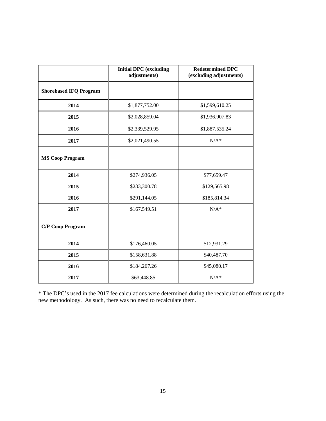|                               | <b>Initial DPC</b> (excluding<br>adjustments) | <b>Redetermined DPC</b><br>(excluding adjustments) |
|-------------------------------|-----------------------------------------------|----------------------------------------------------|
| <b>Shorebased IFQ Program</b> |                                               |                                                    |
| 2014                          | \$1,877,752.00                                | \$1,599,610.25                                     |
| 2015                          | \$2,028,859.04                                | \$1,936,907.83                                     |
| 2016                          | \$2,339,529.95                                | \$1,887,535.24                                     |
| 2017                          | \$2,021,490.55                                | $N/A^*$                                            |
| <b>MS Coop Program</b>        |                                               |                                                    |
| 2014                          | \$274,936.05                                  | \$77,659.47                                        |
| 2015                          | \$233,300.78                                  | \$129,565.98                                       |
| 2016                          | \$291,144.05                                  | \$185,814.34                                       |
| 2017                          | \$167,549.51                                  | $N/A^*$                                            |
| <b>C/P Coop Program</b>       |                                               |                                                    |
| 2014                          | \$176,460.05                                  | \$12,931.29                                        |
| 2015                          | \$158,631.88                                  | \$40,487.70                                        |
| 2016                          | \$184,267.26                                  | \$45,080.17                                        |
| 2017                          | \$63,448.85                                   | $N/A^*$                                            |

\* The DPC's used in the 2017 fee calculations were determined during the recalculation efforts using the new methodology. As such, there was no need to recalculate them.